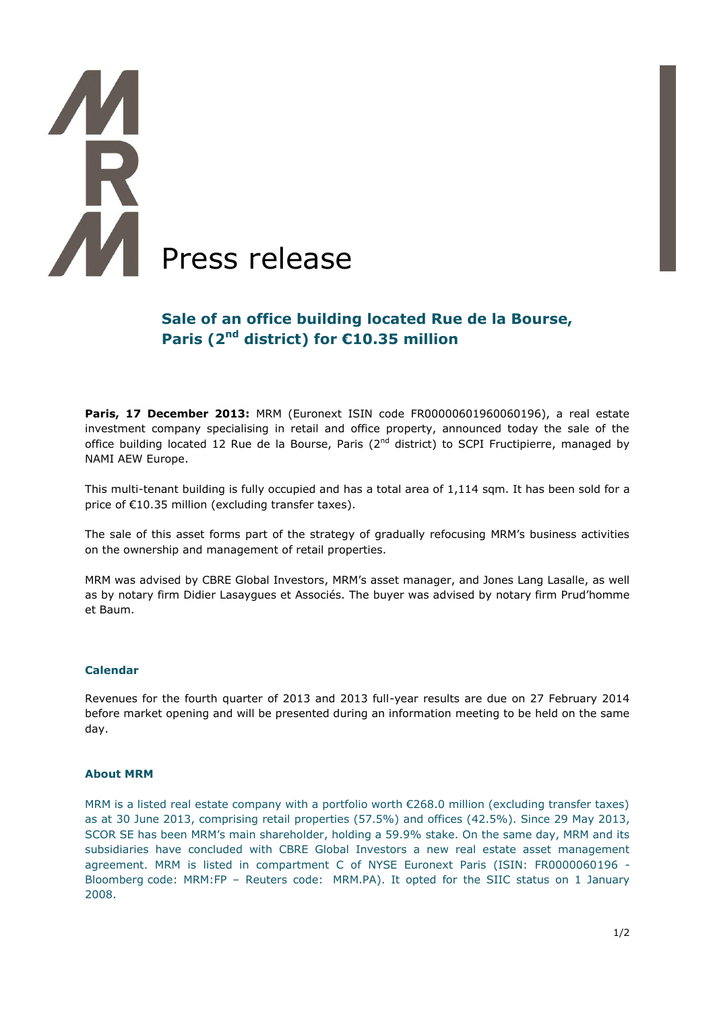# **A** All Press release

# **Sale of an office building located Rue de la Bourse, Paris (2nd district) for €10.35 million**

**Paris, 17 December 2013:** MRM (Euronext ISIN code FR00000601960060196), a real estate investment company specialising in retail and office property, announced today the sale of the office building located 12 Rue de la Bourse, Paris ( $2<sup>nd</sup>$  district) to SCPI Fructipierre, managed by NAMI AEW Europe.

This multi-tenant building is fully occupied and has a total area of 1,114 sqm. It has been sold for a price of €10.35 million (excluding transfer taxes).

The sale of this asset forms part of the strategy of gradually refocusing MRM's business activities on the ownership and management of retail properties.

MRM was advised by CBRE Global Investors, MRM's asset manager, and Jones Lang Lasalle, as well as by notary firm Didier Lasaygues et Associés. The buyer was advised by notary firm Prud'homme et Baum.

### **Calendar**

Revenues for the fourth quarter of 2013 and 2013 full-year results are due on 27 February 2014 before market opening and will be presented during an information meeting to be held on the same day.

### **About MRM**

MRM is a listed real estate company with a portfolio worth €268.0 million (excluding transfer taxes) as at 30 June 2013, comprising retail properties (57.5%) and offices (42.5%). Since 29 May 2013, SCOR SE has been MRM's main shareholder, holding a 59.9% stake. On the same day, MRM and its subsidiaries have concluded with CBRE Global Investors a new real estate asset management agreement. MRM is listed in compartment C of NYSE Euronext Paris (ISIN: FR0000060196 - Bloomberg code: MRM:FP – Reuters code: MRM.PA). It opted for the SIIC status on 1 January 2008.